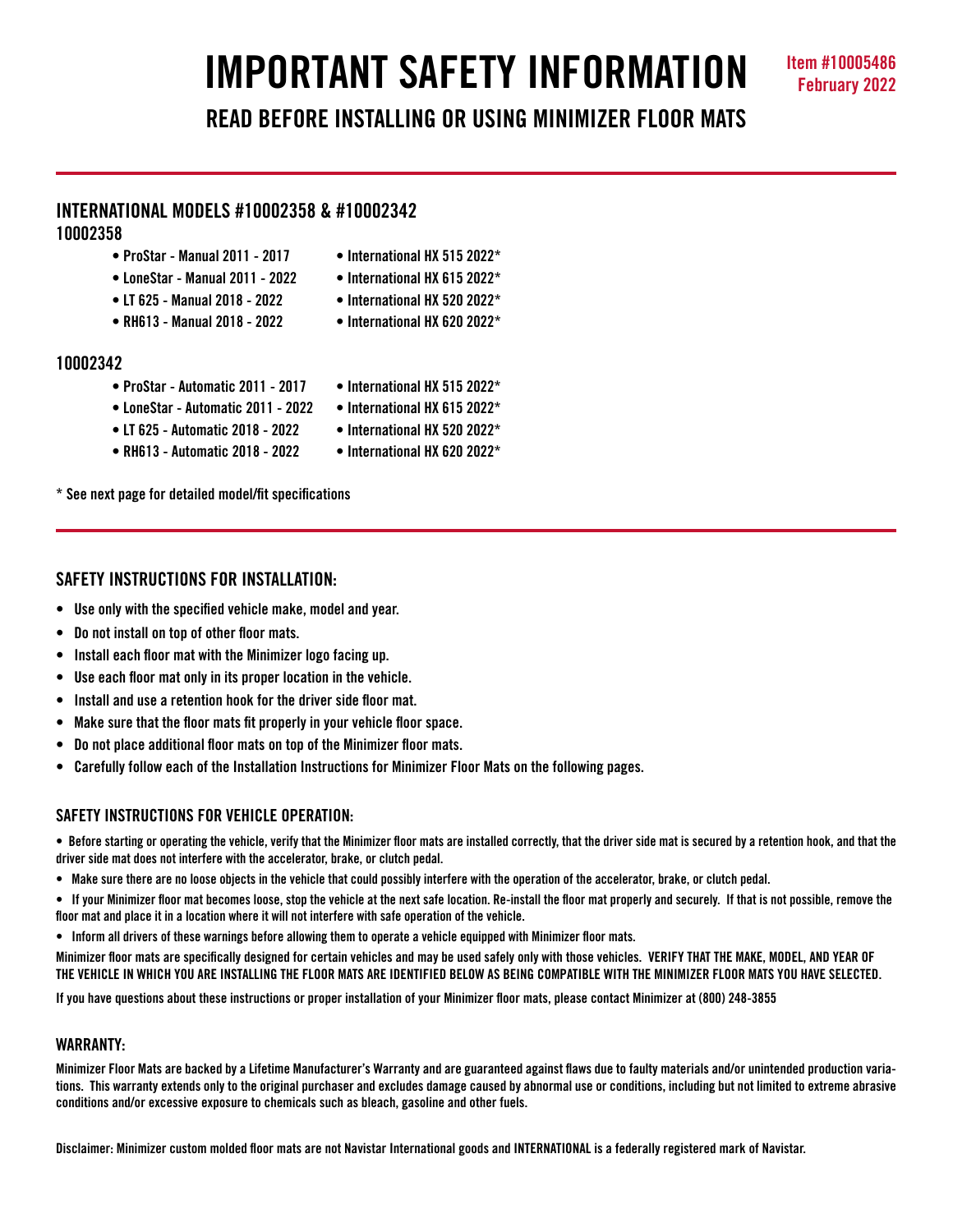# **IMPORTANT SAFETY INFORMATION Item #10005486**

**READ BEFORE INSTALLING OR USING MINIMIZER FLOOR MATS**

## **INTERNATIONAL MODELS #10002358 & #10002342**

## **10002358**

- **ProStar Manual 2011 2017 International HX 515 2022\***
- **LoneStar Manual 2011 2022 International HX 615 2022\***
	-
- 
- 
- **LT 625 Manual 2018 2022 International HX 520 2022\***
- **RH613 Manual 2018 2022 International HX 620 2022\***

## **10002342**

- **ProStar Automatic 2011 2017 International HX 515 2022\***
- **LoneStar Automatic 2011 2022 International HX 615 2022\***
- **LT 625 Automatic 2018 2022 International HX 520 2022\***
- -
- **RH613 Automatic 2018 2022 International HX 620 2022\***

**\* See next page for detailed model/fit specifications** 

## **SAFETY INSTRUCTIONS FOR INSTALLATION:**

- **Use only with the specified vehicle make, model and year.**
- **Do not install on top of other floor mats.**
- **Install each floor mat with the Minimizer logo facing up.**
- **Use each floor mat only in its proper location in the vehicle.**
- **Install and use a retention hook for the driver side floor mat.**
- **Make sure that the floor mats fit properly in your vehicle floor space.**
- **Do not place additional floor mats on top of the Minimizer floor mats.**
- **Carefully follow each of the Installation Instructions for Minimizer Floor Mats on the following pages.**

## **SAFETY INSTRUCTIONS FOR VEHICLE OPERATION:**

**• Before starting or operating the vehicle, verify that the Minimizer floor mats are installed correctly, that the driver side mat is secured by a retention hook, and that the driver side mat does not interfere with the accelerator, brake, or clutch pedal.**

- **Make sure there are no loose objects in the vehicle that could possibly interfere with the operation of the accelerator, brake, or clutch pedal.**
- **If your Minimizer floor mat becomes loose, stop the vehicle at the next safe location. Re-install the floor mat properly and securely. If that is not possible, remove the floor mat and place it in a location where it will not interfere with safe operation of the vehicle.**
- **Inform all drivers of these warnings before allowing them to operate a vehicle equipped with Minimizer floor mats.**

**Minimizer floor mats are specifically designed for certain vehicles and may be used safely only with those vehicles. VERIFY THAT THE MAKE, MODEL, AND YEAR OF THE VEHICLE IN WHICH YOU ARE INSTALLING THE FLOOR MATS ARE IDENTIFIED BELOW AS BEING COMPATIBLE WITH THE MINIMIZER FLOOR MATS YOU HAVE SELECTED.** 

**If you have questions about these instructions or proper installation of your Minimizer floor mats, please contact Minimizer at (800) 248-3855**

## **WARRANTY:**

**Minimizer Floor Mats are backed by a Lifetime Manufacturer's Warranty and are guaranteed against flaws due to faulty materials and/or unintended production variations. This warranty extends only to the original purchaser and excludes damage caused by abnormal use or conditions, including but not limited to extreme abrasive conditions and/or excessive exposure to chemicals such as bleach, gasoline and other fuels.**

**Disclaimer: Minimizer custom molded floor mats are not Navistar International goods and INTERNATIONAL is a federally registered mark of Navistar.**

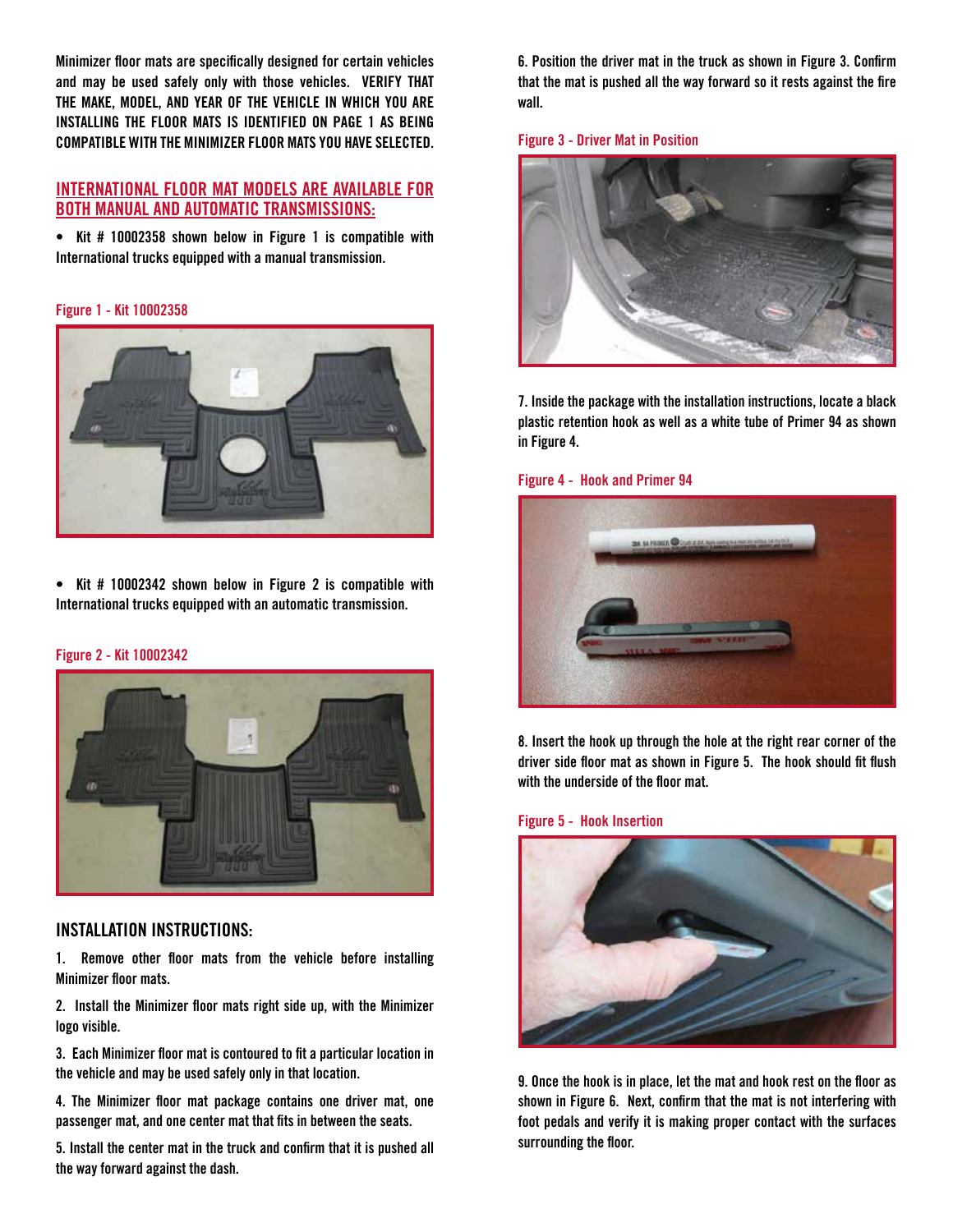**Minimizer floor mats are specifically designed for certain vehicles and may be used safely only with those vehicles. VERIFY THAT THE MAKE, MODEL, AND YEAR OF THE VEHICLE IN WHICH YOU ARE INSTALLING THE FLOOR MATS IS IDENTIFIED ON PAGE 1 AS BEING COMPATIBLE WITH THE MINIMIZER FLOOR MATS YOU HAVE SELECTED.** 

### **INTERNATIONAL FLOOR MAT MODELS ARE AVAILABLE FOR BOTH MANUAL AND AUTOMATIC TRANSMISSIONS:**

**• Kit # 10002358 shown below in Figure 1 is compatible with International trucks equipped with a manual transmission.**

#### **Figure 1 - Kit 10002358**



**• Kit # 10002342 shown below in Figure 2 is compatible with International trucks equipped with an automatic transmission.**

#### **Figure 2 - Kit 10002342**



#### **INSTALLATION INSTRUCTIONS:**

**1. Remove other floor mats from the vehicle before installing Minimizer floor mats.**

**2. Install the Minimizer floor mats right side up, with the Minimizer logo visible.**

**3. Each Minimizer floor mat is contoured to fit a particular location in the vehicle and may be used safely only in that location.** 

**4. The Minimizer floor mat package contains one driver mat, one passenger mat, and one center mat that fits in between the seats.**

**5. Install the center mat in the truck and confirm that it is pushed all the way forward against the dash.**

**6. Position the driver mat in the truck as shown in Figure 3. Confirm that the mat is pushed all the way forward so it rests against the fire wall.** 

#### **Figure 3 - Driver Mat in Position**



**7. Inside the package with the installation instructions, locate a black plastic retention hook as well as a white tube of Primer 94 as shown in Figure 4.** 

#### **Figure 4 - Hook and Primer 94**



**8. Insert the hook up through the hole at the right rear corner of the driver side floor mat as shown in Figure 5. The hook should fit flush with the underside of the floor mat.** 

#### **Figure 5 - Hook Insertion**



**9. Once the hook is in place, let the mat and hook rest on the floor as shown in Figure 6. Next, confirm that the mat is not interfering with foot pedals and verify it is making proper contact with the surfaces surrounding the floor.**